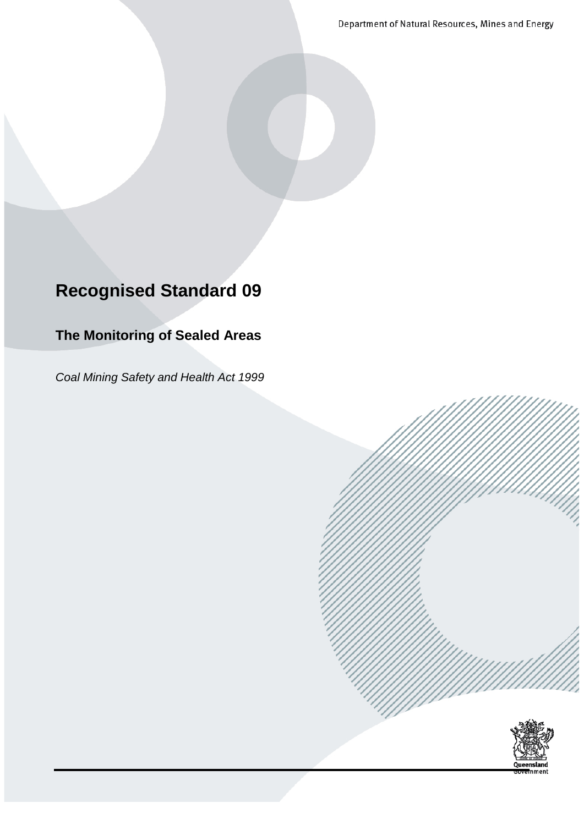Department of Natural Resources, Mines and Energy

# **Recognised Standard 09**

### **The Monitoring of Sealed Areas**

*Coal Mining Safety and Health Act 1999*

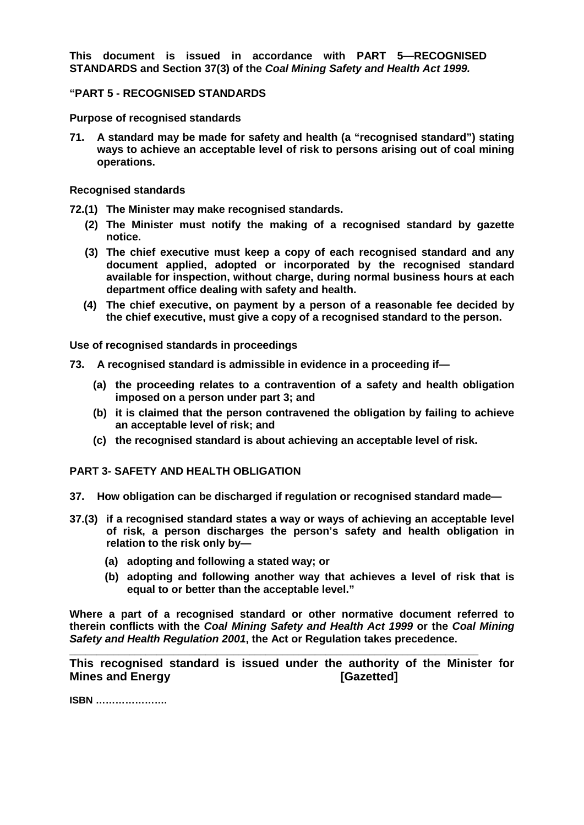**This document is issued in accordance with PART 5—RECOGNISED STANDARDS and Section 37(3) of the** *Coal Mining Safety and Health Act 1999.*

#### **"PART 5 - RECOGNISED STANDARDS**

**Purpose of recognised standards**

**71. A standard may be made for safety and health (a "recognised standard") stating ways to achieve an acceptable level of risk to persons arising out of coal mining operations.**

**Recognised standards**

- **72.(1) The Minister may make recognised standards.**
	- **(2) The Minister must notify the making of a recognised standard by gazette notice.**
	- **(3) The chief executive must keep a copy of each recognised standard and any document applied, adopted or incorporated by the recognised standard available for inspection, without charge, during normal business hours at each department office dealing with safety and health.**
	- **(4) The chief executive, on payment by a person of a reasonable fee decided by the chief executive, must give a copy of a recognised standard to the person.**

**Use of recognised standards in proceedings**

- **73. A recognised standard is admissible in evidence in a proceeding if—**
	- **(a) the proceeding relates to a contravention of a safety and health obligation imposed on a person under part 3; and**
	- **(b) it is claimed that the person contravened the obligation by failing to achieve an acceptable level of risk; and**
	- **(c) the recognised standard is about achieving an acceptable level of risk.**

**PART 3- SAFETY AND HEALTH OBLIGATION**

- **37. How obligation can be discharged if regulation or recognised standard made—**
- **37.(3) if a recognised standard states a way or ways of achieving an acceptable level of risk, a person discharges the person's safety and health obligation in relation to the risk only by—**
	- **(a) adopting and following a stated way; or**
	- **(b) adopting and following another way that achieves a level of risk that is equal to or better than the acceptable level."**

**Where a part of a recognised standard or other normative document referred to therein conflicts with the** *Coal Mining Safety and Health Act 1999* **or the** *Coal Mining Safety and Health Regulation 2001***, the Act or Regulation takes precedence.**

**This recognised standard is issued under the authority of the Minister for Mines** and Energy **Energy and Energy and Energy and Energy and Energy and Energy and Energy and Energy and Energy and Energy and Energy and Energy and Energy and Energy and Energy and Energy and Energy and Energy and Ener** 

**\_\_\_\_\_\_\_\_\_\_\_\_\_\_\_\_\_\_\_\_\_\_\_\_\_\_\_\_\_\_\_\_\_\_\_\_\_\_\_\_\_\_\_\_\_\_\_\_\_\_\_\_\_\_\_\_\_\_\_\_\_\_\_\_\_\_\_\_\_\_\_\_\_\_\_**

**ISBN ………………….**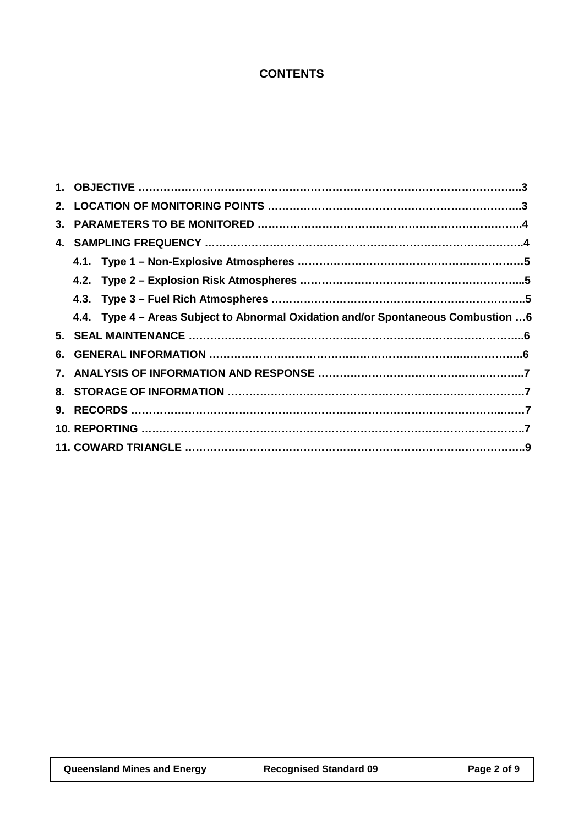### **CONTENTS**

| 4.4. Type 4 – Areas Subject to Abnormal Oxidation and/or Spontaneous Combustion 6 |  |  |
|-----------------------------------------------------------------------------------|--|--|
|                                                                                   |  |  |
|                                                                                   |  |  |
|                                                                                   |  |  |
|                                                                                   |  |  |
|                                                                                   |  |  |
|                                                                                   |  |  |
|                                                                                   |  |  |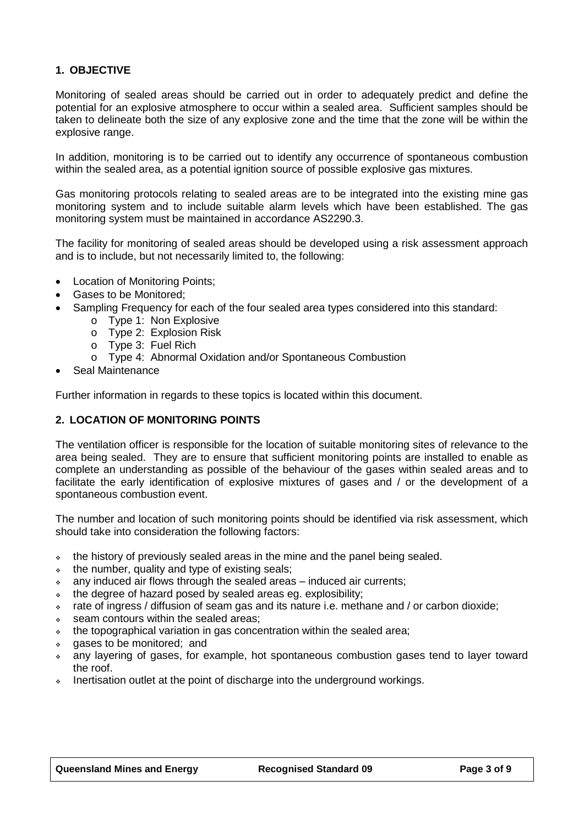#### **1. OBJECTIVE**

Monitoring of sealed areas should be carried out in order to adequately predict and define the potential for an explosive atmosphere to occur within a sealed area. Sufficient samples should be taken to delineate both the size of any explosive zone and the time that the zone will be within the explosive range.

In addition, monitoring is to be carried out to identify any occurrence of spontaneous combustion within the sealed area, as a potential ignition source of possible explosive gas mixtures.

Gas monitoring protocols relating to sealed areas are to be integrated into the existing mine gas monitoring system and to include suitable alarm levels which have been established. The gas monitoring system must be maintained in accordance AS2290.3.

The facility for monitoring of sealed areas should be developed using a risk assessment approach and is to include, but not necessarily limited to, the following:

- Location of Monitoring Points;
- Gases to be Monitored;
- Sampling Frequency for each of the four sealed area types considered into this standard:
	- o Type 1: Non Explosive
		- o Type 2: Explosion Risk
		- o Type 3: Fuel Rich
		- o Type 4: Abnormal Oxidation and/or Spontaneous Combustion
- Seal Maintenance

Further information in regards to these topics is located within this document.

#### **2. LOCATION OF MONITORING POINTS**

The ventilation officer is responsible for the location of suitable monitoring sites of relevance to the area being sealed. They are to ensure that sufficient monitoring points are installed to enable as complete an understanding as possible of the behaviour of the gases within sealed areas and to facilitate the early identification of explosive mixtures of gases and / or the development of a spontaneous combustion event.

The number and location of such monitoring points should be identified via risk assessment, which should take into consideration the following factors:

- the history of previously sealed areas in the mine and the panel being sealed.
- $\cdot$  the number, quality and type of existing seals;
- any induced air flows through the sealed areas induced air currents;
- $\bullet$  the degree of hazard posed by sealed areas eg. explosibility;
- rate of ingress / diffusion of seam gas and its nature i.e. methane and / or carbon dioxide;
- seam contours within the sealed areas;
- the topographical variation in gas concentration within the sealed area;
- gases to be monitored; and
- any layering of gases, for example, hot spontaneous combustion gases tend to layer toward the roof.
- $\bullet$  Inertisation outlet at the point of discharge into the underground workings.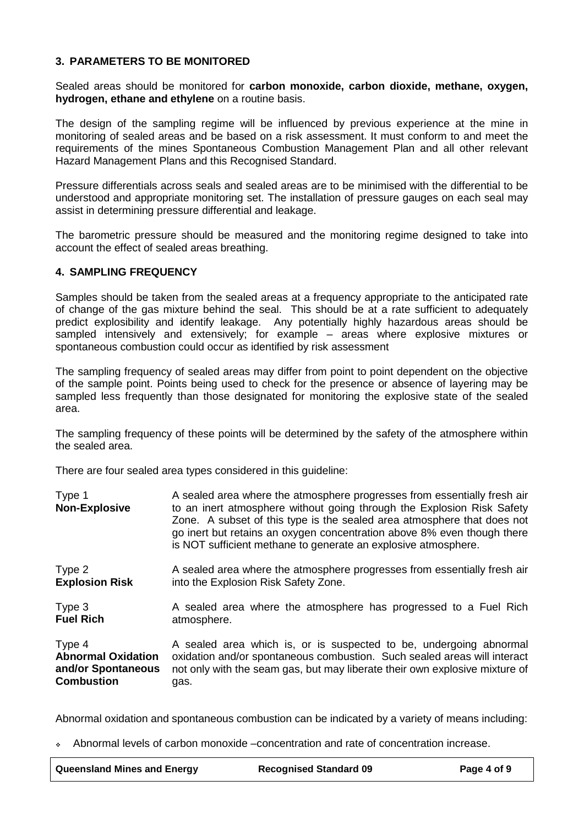#### **3. PARAMETERS TO BE MONITORED**

Sealed areas should be monitored for **carbon monoxide, carbon dioxide, methane, oxygen, hydrogen, ethane and ethylene** on a routine basis.

The design of the sampling regime will be influenced by previous experience at the mine in monitoring of sealed areas and be based on a risk assessment. It must conform to and meet the requirements of the mines Spontaneous Combustion Management Plan and all other relevant Hazard Management Plans and this Recognised Standard.

Pressure differentials across seals and sealed areas are to be minimised with the differential to be understood and appropriate monitoring set. The installation of pressure gauges on each seal may assist in determining pressure differential and leakage.

The barometric pressure should be measured and the monitoring regime designed to take into account the effect of sealed areas breathing.

#### **4. SAMPLING FREQUENCY**

Samples should be taken from the sealed areas at a frequency appropriate to the anticipated rate of change of the gas mixture behind the seal. This should be at a rate sufficient to adequately predict explosibility and identify leakage. Any potentially highly hazardous areas should be sampled intensively and extensively; for example – areas where explosive mixtures or spontaneous combustion could occur as identified by risk assessment

The sampling frequency of sealed areas may differ from point to point dependent on the objective of the sample point. Points being used to check for the presence or absence of layering may be sampled less frequently than those designated for monitoring the explosive state of the sealed area.

The sampling frequency of these points will be determined by the safety of the atmosphere within the sealed area.

There are four sealed area types considered in this guideline:

Type 1 A sealed area where the atmosphere progresses from essentially fresh air **Non-Explosive** to an inert atmosphere without going through the Explosion Risk Safety Zone. A subset of this type is the sealed area atmosphere that does not go inert but retains an oxygen concentration above 8% even though there is NOT sufficient methane to generate an explosive atmosphere. Type 2 **Explosion Risk** A sealed area where the atmosphere progresses from essentially fresh air into the Explosion Risk Safety Zone. Type 3 **Fuel Rich** A sealed area where the atmosphere has progressed to a Fuel Rich atmosphere. Type 4 **Abnormal Oxidation and/or Spontaneous Combustion** A sealed area which is, or is suspected to be, undergoing abnormal oxidation and/or spontaneous combustion. Such sealed areas will interact not only with the seam gas, but may liberate their own explosive mixture of gas.

Abnormal oxidation and spontaneous combustion can be indicated by a variety of means including:

Abnormal levels of carbon monoxide –concentration and rate of concentration increase.

| Queensland Mines and Energy | <b>Recognised Standard 09</b> | Page 4 of 9 |
|-----------------------------|-------------------------------|-------------|
|-----------------------------|-------------------------------|-------------|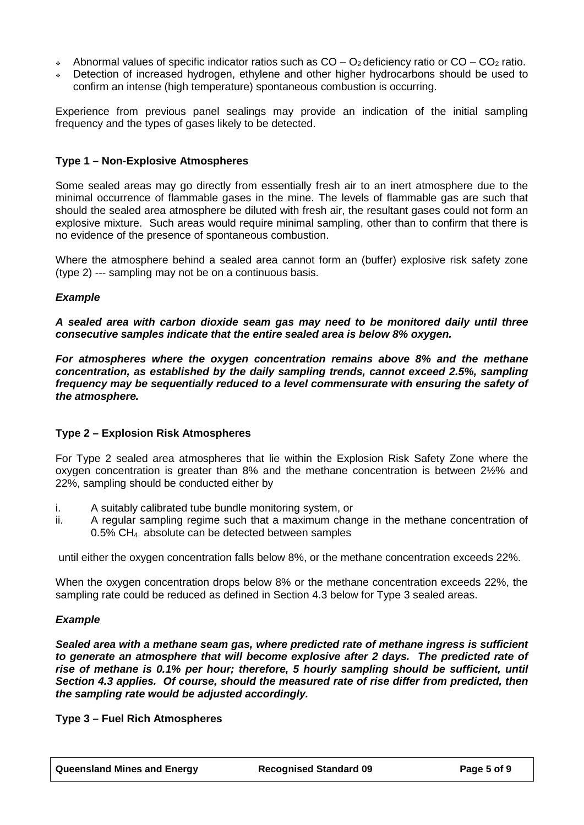- $\bullet$  Abnormal values of specific indicator ratios such as CO O<sub>2</sub> deficiency ratio or CO CO<sub>2</sub> ratio.
- Detection of increased hydrogen, ethylene and other higher hydrocarbons should be used to confirm an intense (high temperature) spontaneous combustion is occurring.

Experience from previous panel sealings may provide an indication of the initial sampling frequency and the types of gases likely to be detected.

#### **Type 1 – Non-Explosive Atmospheres**

Some sealed areas may go directly from essentially fresh air to an inert atmosphere due to the minimal occurrence of flammable gases in the mine. The levels of flammable gas are such that should the sealed area atmosphere be diluted with fresh air, the resultant gases could not form an explosive mixture. Such areas would require minimal sampling, other than to confirm that there is no evidence of the presence of spontaneous combustion.

Where the atmosphere behind a sealed area cannot form an (buffer) explosive risk safety zone (type 2) --- sampling may not be on a continuous basis.

#### *Example*

*A sealed area with carbon dioxide seam gas may need to be monitored daily until three consecutive samples indicate that the entire sealed area is below 8% oxygen.*

*For atmospheres where the oxygen concentration remains above 8% and the methane concentration, as established by the daily sampling trends, cannot exceed 2.5%, sampling frequency may be sequentially reduced to a level commensurate with ensuring the safety of the atmosphere.*

#### **Type 2 – Explosion Risk Atmospheres**

For Type 2 sealed area atmospheres that lie within the Explosion Risk Safety Zone where the oxygen concentration is greater than 8% and the methane concentration is between 2½% and 22%, sampling should be conducted either by

- i. A suitably calibrated tube bundle monitoring system, or<br>ii. A regular sampling regime such that a maximum char
- A regular sampling regime such that a maximum change in the methane concentration of 0.5% CH4 absolute can be detected between samples

until either the oxygen concentration falls below 8%, or the methane concentration exceeds 22%.

When the oxygen concentration drops below 8% or the methane concentration exceeds 22%, the sampling rate could be reduced as defined in Section 4.3 below for Type 3 sealed areas.

#### *Example*

*Sealed area with a methane seam gas, where predicted rate of methane ingress is sufficient to generate an atmosphere that will become explosive after 2 days. The predicted rate of rise of methane is 0.1% per hour; therefore, 5 hourly sampling should be sufficient, until Section 4.3 applies. Of course, should the measured rate of rise differ from predicted, then the sampling rate would be adjusted accordingly.*

**Type 3 – Fuel Rich Atmospheres**

**Queensland Mines and Energy Recognised Standard 09 Page 5 of 9**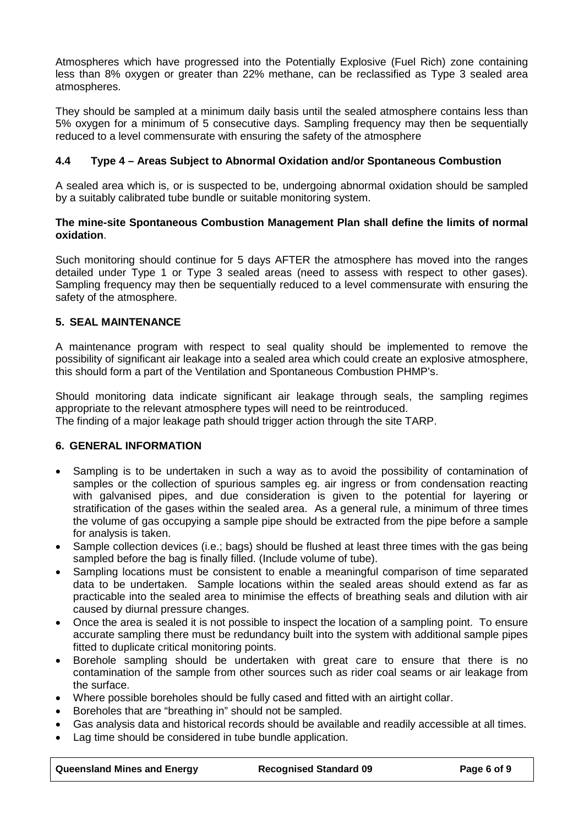Atmospheres which have progressed into the Potentially Explosive (Fuel Rich) zone containing less than 8% oxygen or greater than 22% methane, can be reclassified as Type 3 sealed area atmospheres.

They should be sampled at a minimum daily basis until the sealed atmosphere contains less than 5% oxygen for a minimum of 5 consecutive days. Sampling frequency may then be sequentially reduced to a level commensurate with ensuring the safety of the atmosphere

#### **4.4 Type 4 – Areas Subject to Abnormal Oxidation and/or Spontaneous Combustion**

A sealed area which is, or is suspected to be, undergoing abnormal oxidation should be sampled by a suitably calibrated tube bundle or suitable monitoring system.

#### **The mine-site Spontaneous Combustion Management Plan shall define the limits of normal oxidation**.

Such monitoring should continue for 5 days AFTER the atmosphere has moved into the ranges detailed under Type 1 or Type 3 sealed areas (need to assess with respect to other gases). Sampling frequency may then be sequentially reduced to a level commensurate with ensuring the safety of the atmosphere.

#### **5. SEAL MAINTENANCE**

A maintenance program with respect to seal quality should be implemented to remove the possibility of significant air leakage into a sealed area which could create an explosive atmosphere, this should form a part of the Ventilation and Spontaneous Combustion PHMP's.

Should monitoring data indicate significant air leakage through seals, the sampling regimes appropriate to the relevant atmosphere types will need to be reintroduced.

The finding of a major leakage path should trigger action through the site TARP.

#### **6. GENERAL INFORMATION**

- Sampling is to be undertaken in such a way as to avoid the possibility of contamination of samples or the collection of spurious samples eg. air ingress or from condensation reacting with galvanised pipes, and due consideration is given to the potential for layering or stratification of the gases within the sealed area. As a general rule, a minimum of three times the volume of gas occupying a sample pipe should be extracted from the pipe before a sample for analysis is taken.
- Sample collection devices (i.e.; bags) should be flushed at least three times with the gas being sampled before the bag is finally filled. (Include volume of tube).
- Sampling locations must be consistent to enable a meaningful comparison of time separated data to be undertaken. Sample locations within the sealed areas should extend as far as practicable into the sealed area to minimise the effects of breathing seals and dilution with air caused by diurnal pressure changes.
- Once the area is sealed it is not possible to inspect the location of a sampling point. To ensure accurate sampling there must be redundancy built into the system with additional sample pipes fitted to duplicate critical monitoring points.
- Borehole sampling should be undertaken with great care to ensure that there is no contamination of the sample from other sources such as rider coal seams or air leakage from the surface.
- Where possible boreholes should be fully cased and fitted with an airtight collar.
- Boreholes that are "breathing in" should not be sampled.
- Gas analysis data and historical records should be available and readily accessible at all times.
- Lag time should be considered in tube bundle application.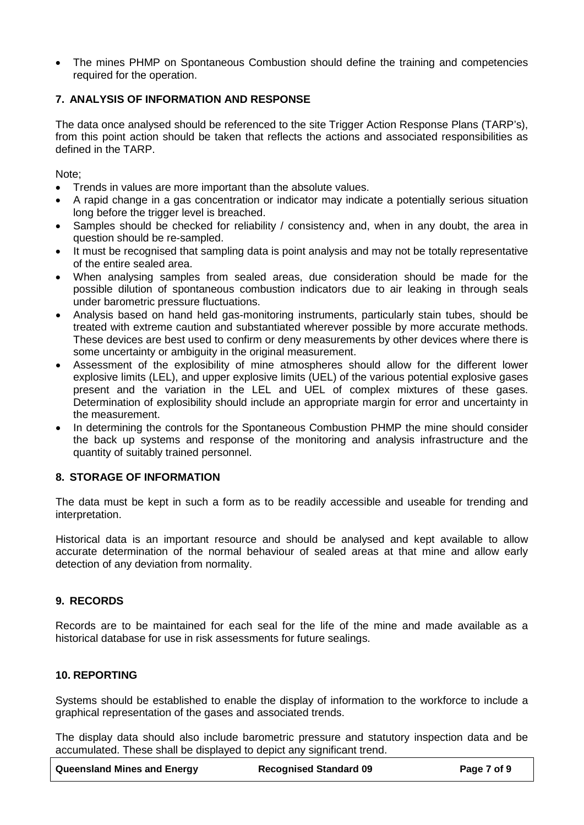• The mines PHMP on Spontaneous Combustion should define the training and competencies required for the operation.

#### **7. ANALYSIS OF INFORMATION AND RESPONSE**

The data once analysed should be referenced to the site Trigger Action Response Plans (TARP's), from this point action should be taken that reflects the actions and associated responsibilities as defined in the TARP.

Note;

- Trends in values are more important than the absolute values.
- A rapid change in a gas concentration or indicator may indicate a potentially serious situation long before the trigger level is breached.
- Samples should be checked for reliability / consistency and, when in any doubt, the area in question should be re-sampled.
- It must be recognised that sampling data is point analysis and may not be totally representative of the entire sealed area.
- When analysing samples from sealed areas, due consideration should be made for the possible dilution of spontaneous combustion indicators due to air leaking in through seals under barometric pressure fluctuations.
- Analysis based on hand held gas-monitoring instruments, particularly stain tubes, should be treated with extreme caution and substantiated wherever possible by more accurate methods. These devices are best used to confirm or deny measurements by other devices where there is some uncertainty or ambiguity in the original measurement.
- Assessment of the explosibility of mine atmospheres should allow for the different lower explosive limits (LEL), and upper explosive limits (UEL) of the various potential explosive gases present and the variation in the LEL and UEL of complex mixtures of these gases. Determination of explosibility should include an appropriate margin for error and uncertainty in the measurement.
- In determining the controls for the Spontaneous Combustion PHMP the mine should consider the back up systems and response of the monitoring and analysis infrastructure and the quantity of suitably trained personnel.

#### **8. STORAGE OF INFORMATION**

The data must be kept in such a form as to be readily accessible and useable for trending and interpretation.

Historical data is an important resource and should be analysed and kept available to allow accurate determination of the normal behaviour of sealed areas at that mine and allow early detection of any deviation from normality.

#### **9. RECORDS**

Records are to be maintained for each seal for the life of the mine and made available as a historical database for use in risk assessments for future sealings.

#### **10. REPORTING**

Systems should be established to enable the display of information to the workforce to include a graphical representation of the gases and associated trends.

The display data should also include barometric pressure and statutory inspection data and be accumulated. These shall be displayed to depict any significant trend.

| <b>Queensland Mines and Energy</b> | <b>Recognised Standard 09</b> | Page 7 of 9 |
|------------------------------------|-------------------------------|-------------|
|------------------------------------|-------------------------------|-------------|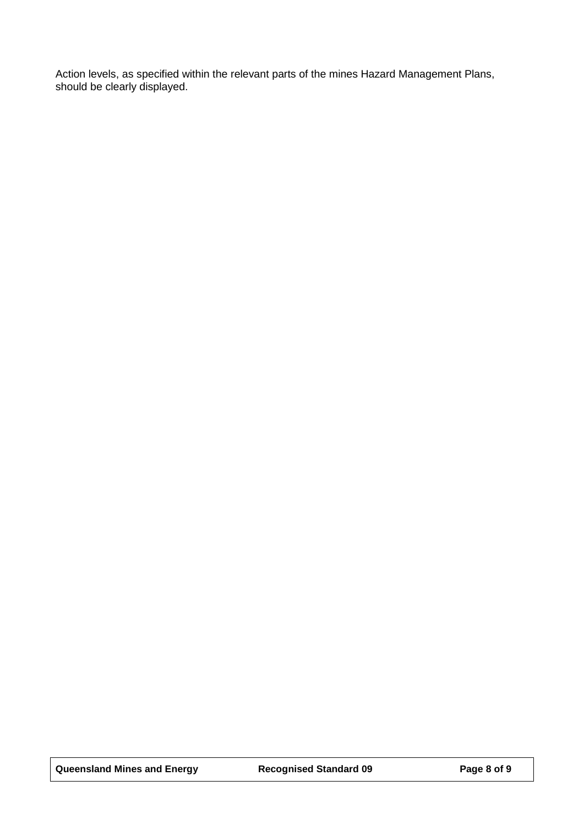Action levels, as specified within the relevant parts of the mines Hazard Management Plans, should be clearly displayed.